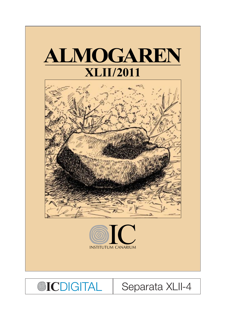

**OICDIGITAL** 

**Separata XLII-4**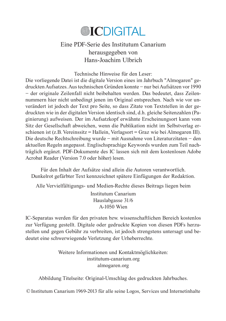# **@ICDIGITAL**

## Eine PDF-Serie des Institutum Canarium herausgegeben von Hans-Joachim Ulbrich

Technische Hinweise für den Leser:

Die vorliegende Datei ist die digitale Version eines im Jahrbuch "Almogaren" gedruckten Aufsatzes. Aus technischen Gründen konnte – nur bei Aufsätzen vor 1990 – der originale Zeilenfall nicht beibehalten werden. Das bedeutet, dass Zeilennummern hier nicht unbedingt jenen im Original entsprechen. Nach wie vor unverändert ist jedoch der Text pro Seite, so dass Zitate von Textstellen in der gedruckten wie in der digitalen Version identisch sind, d.h. gleiche Seitenzahlen (Paginierung) aufweisen. Der im Aufsatzkopf erwähnte Erscheinungsort kann vom Sitz der Gesellschaft abweichen, wenn die Publikation nicht im Selbstverlag erschienen ist (z.B. Vereinssitz = Hallein, Verlagsort = Graz wie bei Almogaren III). Die deutsche Rechtschreibung wurde – mit Ausnahme von Literaturzitaten – den aktuellen Regeln angepasst. Englischsprachige Keywords wurden zum Teil nachträglich ergänzt. PDF-Dokumente des IC lassen sich mit dem kostenlosen Adobe Acrobat Reader (Version 7.0 oder höher) lesen.

Für den Inhalt der Aufsätze sind allein die Autoren verantwortlich. Dunkelrot gefärbter Text kennzeichnet spätere Einfügungen der Redaktion.

Alle Vervielfältigungs- und Medien-Rechte dieses Beitrags liegen beim

Institutum Canarium Hauslabgasse 31/6 A-1050 Wien

IC-Separatas werden für den privaten bzw. wissenschaftlichen Bereich kostenlos zur Verfügung gestellt. Digitale oder gedruckte Kopien von diesen PDFs herzustellen und gegen Gebühr zu verbreiten, ist jedoch strengstens untersagt und bedeutet eine schwerwiegende Verletzung der Urheberrechte.

> Weitere Informationen und Kontaktmöglichkeiten: institutum-canarium.org almogaren.org

Abbildung Titelseite: Original-Umschlag des gedruckten Jahrbuches.

- Institutum Canarium 1969-2013 für alle seine Logos, Services und Internetinhalte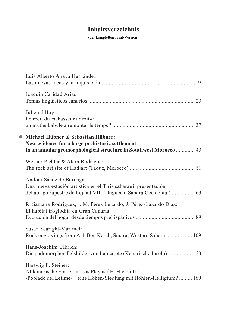# **Inhaltsverzeichnis**

(der kompletten Print-Version)

|           | Luis Alberto Anaya Hernández:                                                                                                                                      |
|-----------|--------------------------------------------------------------------------------------------------------------------------------------------------------------------|
|           | Joaquín Caridad Arias:                                                                                                                                             |
|           | Julien d'Huy:<br>Le récit du «Chasseur adroit»:                                                                                                                    |
| $\bullet$ | Michael Hübner & Sebastian Hübner:<br>New evidence for a large prehistoric settlement<br>in an annular geomorphological structure in Southwest Morocco  43         |
|           | Werner Pichler & Alain Rodrigue:                                                                                                                                   |
|           | Andoni Sáenz de Buruaga:<br>Una nueva estación artística en el Tiris saharaui: presentación<br>del abrigo rupestre de Lejuad VIII (Duguech, Sahara Occidental)  63 |
|           | R. Santana Rodríguez, J. M. Pérez Luzardo, J. Pérez-Luzardo Díaz:<br>El hábitat troglodita en Gran Canaria:                                                        |
|           | Susan Searight-Martinet:<br>Rock engravings from Asli Bou Kerch, Smara, Western Sahara  109                                                                        |
|           | Hans-Joachim Ulbrich:<br>Die podomorphen Felsbilder von Lanzarote (Kanarische Inseln)  133                                                                         |
|           | Hartwig E. Steiner:<br>Altkanarische Stätten in Las Playas / El Hierro III:<br>>Poblado del Letime< - eine Höhen-Siedlung mit Höhlen-Heiligtum?  169               |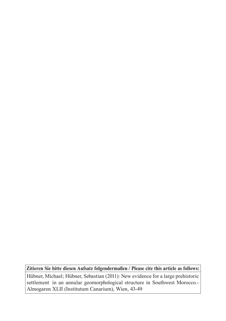**Zitieren Sie bitte diesen Aufsatz folgendermaßen / Please cite this article as follows:**

Hübner, Michael; Hübner, Sebastian (2011): New evidence for a large prehistoric settlement in an annular geomorphological structure in Southwest Morocco.- Almogaren XLII (Institutum Canarium), Wien, 43-49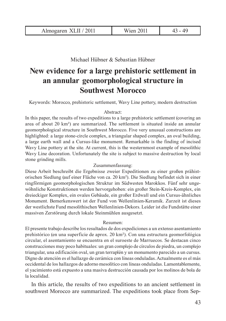Michael Hübner & Sebastian Hübner

# **New evidence for a large prehistoric settlement in an annular geomorphological structure in Southwest Morocco**

Keywords: Morocco, prehistoric settlement, Wavy Line pottery, modern destruction

#### Abstract:

In this paper, the results of two expeditions to a large prehistoric settlement (covering an area of about 20 km²) are summarized. The settlement is situated inside an annular geomorphological structure in Southwest Morocco. Five very unusual constructions are highlighted: a large stone-circle complex, a triangular shaped complex, an oval building, a large earth wall and a Cursus-like monument. Remarkable is the finding of incised Wavy Line pottery at the site. At current, this is the westernmost example of mesolithic Wavy Line decoration. Unfortunately the site is subject to massive destruction by local stone grinding mills.

#### Zusammenfassung:

Diese Arbeit beschreibt die Ergebnisse zweier Expeditionen zu einer großen prähistorischen Siedlung (auf einer Fläche von ca. 20 km²). Die Siedlung befindet sich in einer ringförmigen geomorphologischen Struktur im Südwesten Marokkos. Fünf sehr ungewöhnliche Konstruktionen werden hervorgehoben: ein großer Stein-Kreis-Komplex, ein dreieckiger Komplex, ein ovales Gebäude, ein großer Erdwall und ein Cursus-ähnliches Monument. Bemerkenswert ist der Fund von Wellenlinien-Keramik. Zurzeit ist dieses der westlichste Fund mesolithischen Wellenlinien-Dekors. Leider ist die Fundstätte einer massiven Zerstörung durch lokale Steinmühlen ausgesetzt.

#### Resumen:

El presente trabajo describe los resultados de dos expediciones a un extenso asentamiento prehistórico (en una superficie de aprox. 20 km²). Con una estructura geomorfológica circular, el asentamiento se encuentra en el suroeste de Marruecos. Se destacan cinco construcciones muy poco habituales: un gran complejo de círculos de piedra, un complejo triangular, una edificación oval, un gran terraplén y un monumento parecido a un cursus. Digno de atención es el hallazgo de cerámica con líneas onduladas. Actualmente es el más occidental de los hallazgos de adorno mesolítico con líneas onduladas. Lamentablemente, el yacimiento está expuesto a una masiva destrucción causada por los molinos de bola de la localidad.

In this article, the results of two expeditions to an ancient settlement in southwest Morocco are summarized. The expeditions took place from Sep-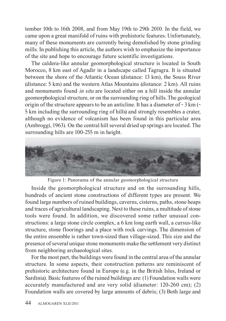tember 10th to 16th 2008, and from May 19th to 29th 2010. In the field, we came upon a great manifold of ruins with prehistoric features. Unfortunately, many of these monuments are currently being demolished by stone grinding mills. In publishing this article, the authors wish to emphasize the importance of the site and hope to encourage future scientific investigations.

The caldera-like annular geomorphological structure is located in South Morocco, 8 km east of Agadir in a landscape called Tagragra. It is situated between the shore of the Atlantic Ocean (distance: 13 km), the Souss River (distance: 5 km) and the western Atlas Mountains (distance: 2 km). All ruins and monuments found *in situ* are located either on a hill inside the annular geomorphological structure, or on the surrounding ring of hills. The geological origin of the structure appears to be an anticline. It has a diameter of  $\sim$  3 km ( $\sim$  5 km including the surrounding ring of hills) and strongly resembles a crater, although no evidence of volcanism has been found in this particular area (Ambroggi, 1963). On the central hill several dried up springs are located. The surrounding hills are 100-255 m in height.



Figure 1: Panorama of the annular geomorphological structure

Inside the geomorphological structure and on the surrounding hills, hundreds of ancient stone constructions of different types are present. We found large numbers of ruined buildings, caverns, cisterns, paths, stone heaps and traces of agricultural landscaping. Next to these ruins, a multitude of stone tools were found. In addition, we discovered some rather unusual constructions: a large stone circle complex, a 6 km long earth wall, a cursus-like structure, stone floorings and a place with rock carvings. The dimension of the entire ensemble is rather town-sized than village-sized. This size and the presence of several unique stone monuments make the settlement very distinct from neighboring archaeological sites.

For the most part, the buildings were found in the central area of the annular structure. In some aspects, their construction patterns are reminiscent of prehistoric architecture found in Europe (e.g. in the British Isles, Ireland or Sardinia). Basic features of the ruined buildings are: (1) Foundation walls were accurately manufactured and are very solid (diameter: 120-260 cm); (2) Foundation walls are covered by large amounts of debris; (3) Both large and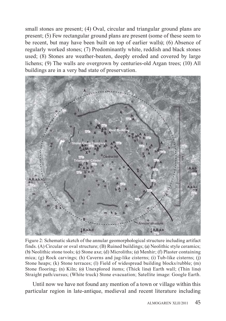small stones are present; (4) Oval, circular and triangular ground plans are present; (5) Few rectangular ground plans are present (some of these seem to be recent, but may have been built on top of earlier walls); (6) Absence of regularly worked stones; (7) Predominantly white, reddish and black stones used; (8) Stones are weather-beaten, deeply eroded and covered by large lichens; (9) The walls are overgrown by centuries-old Argan trees; (10) All buildings are in a very bad state of preservation.



Figure 2: Schematic sketch of the annular geomorphological structure including artifact finds. (A) Circular or oval structure; (B) Ruined buildings; (a) Neolithic style ceramics; (b) Neolithic stone tools; (c) Stone axe; (d) Microliths; (e) Menhir; (f) Plaster containing mica; (g) Rock carvings; (h) Caverns and jug-like cisterns; (i) Tub-like cisterns; (j) Stone heaps; (k) Stone terraces; (l) Field of widespread building blocks/rubble; (m) Stone flooring; (n) Kiln; (o) Unexplored items; (Thick line) Earth wall; (Thin line) Straight path/cursus; (White truck) Stone evacuation; Satellite image: Google Earth.

 Until now we have not found any mention of a town or village within this particular region in late-antique, medieval and recent literature including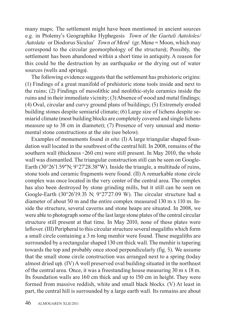many maps; The settlement might have been mentioned in ancient sources e.g. in Ptolemy's Geographike Hyphegesis *Town of the Gaetuli Autololes/ Autolata* or Diodorus Siculus' *Town of Menê* (gr. Mene = Moon, which may correspond to the circular geomorphology of the structure); Possibly, the settlement has been abandoned within a short time in antiquity. A reason for this could be the destruction by an earthquake or the drying out of water sources (wells and springs).

The following evidence suggests that the settlement has prehistoric origins: (1) Findings of a great manifold of prehistoric stone tools inside and next to the ruins; (2) Findings of mesolithic and neolithic-style ceramics inside the ruins and in their immediate vicinity; (3) Absence of wood and metal findings; (4) Oval, circular and curvy ground plans of buildings; (5) Extremely eroded building stones despite semiarid climate; (6) Large size of lichens despite semiarid climate (most building blocks are completely covered and single lichens measure up to 38 cm in diameter); (7) Presence of very unusual and monumental stone constructions at the site (see below).

Examples of monuments found *in situ*: (I) A large triangular shaped foundation wall located in the southwest of the central hill. In 2008, remains of the southern wall (thickness ~260 cm) were still present. In May 2010, the whole wall was dismantled. The triangular construction still can be seen on Google-Earth (30°26'1.59"N; 9°27'28.38"W). Inside the triangle, a multitude of ruins, stone tools and ceramic fragments were found. (II) A remarkable stone circle complex was once located in the very center of the central area. The complex has also been destroyed by stone grinding mills, but it still can be seen on Google-Earth (30°26'19.35 N; 9°27'27.09 W). The circular structure had a diameter of about 50 m and the entire complex measured 130 m x 110 m. Inside the structure, several caverns and stone heaps are situated. In 2008, we were able to photograph some of the last large stone plates of the central circular structure still present at that time. In May 2010, none of these plates were leftover. (III) Peripheral to this circular structure several megaliths which form a small circle containing a 3 m long menhir were found. These megaliths are surrounded by a rectangular shaped 130 cm thick wall. The menhir is tapering towards the top and probably once stood perpendicularly (fig. 5). We assume that the small stone circle construction was arranged next to a spring (today almost dried up). (IV) A well preserved oval building situated in the northeast of the central area. Once, it was a freestanding house measuring 30 m x 18 m. Its foundation walls are 160 cm thick and up to 150 cm in height. They were formed from massive reddish, white and small black blocks. (V) At least in part, the central hill is surrounded by a large earth wall. Its remains are about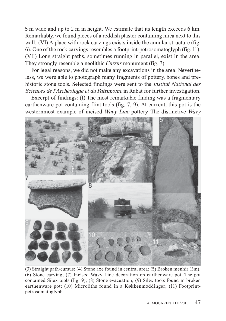5 m wide and up to 2 m in height. We estimate that its length exceeds 6 km. Remarkably, we found pieces of a reddish plaster containing mica next to this wall. (VI) A place with rock carvings exists inside the annular structure (fig. 6). One of the rock carvings resembles a footprint-petrosomatoglyph (fig. 11). (VII) Long straight paths, sometimes running in parallel, exist in the area. They strongly resemble a neolithic *Cursus* monument (fig. 3).

For legal reasons, we did not make any excavations in the area. Nevertheless, we were able to photograph many fragments of pottery, bones and prehistoric stone tools. Selected findings were sent to the *Institut National des Sciences de l*'*Archéologie et du Patrimoine* in Rabat for further investigation.

Excerpt of findings: (I) The most remarkable finding was a fragmentary earthenware pot containing flint tools (fig. 7, 9). At current, this pot is the westernmost example of incised *Wavy Line* pottery. The distinctive *Wavy*



(3) Straight path/cursus; (4) Stone axe found in central area; (5) Broken menhir (3m); (6) Stone carving; (7) Incised Wavy Line decoration on earthenware pot. The pot contained Silex tools (fig. 9); (8) Stone evacuation; (9) Silex tools found in broken earthenware pot; (10) Microliths found in a Køkkenmøddinger; (11) Footprintpetrosomatoglyph.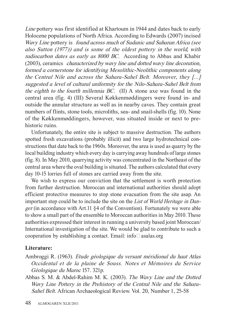*Line* pottery was first identified at Khartoum in 1944 and dates back to early Holocene populations of North Africa. According to Edwards (2007) incised *Wavy Line* pottery is *found across much of Sudanic and Saharan Africa (see also Sutton (1977)) and is some of the oldest pottery in the world, with radiocarbon dates as early as 8000 BC.* According to Abbas and Khabir (2003), ceramics *characterized by wavy line and dotted wavy line decoration, formed a cornerstone for identifying Mesolithic-Neolithic components along the Central Nile and across the Sahara-Sahel Belt. Moreover, they [...] suggested a level of cultural uniformity for the Nilo-Sahara-Sahel Belt from the eighth to the fourth millennia BC.* (II) A stone axe was found in the central area (fig. 4) (III) Several Køkkenmøddingers were found in- and outside the annular structure as well as in nearby caves. They contain great numbers of flints, stone tools, microliths, sea- and snail-shells (fig. 10). None of the Køkkenmøddingers, however, was situated inside or next to prehistoric ruins.

Unfortunately, the entire site is subject to massive destruction. The authors spotted fresh excavations (probably illicit) and two large hydrotechnical constructions that date back to the 1960s. Moreover, the area is used as quarry by the local building industry which every day is carrying away hundreds of large stones (fig. 8). In May 2010, quarrying activity was concentrated in the Northeast of the central area where the oval building is situated. The authors calculated that every day 10-15 lorries full of stones are carried away from the site.

We wish to express our conviction that the settlement is worth protection from further destruction. Moroccan and international authorities should adopt efficient protective measures to stop stone evacuation from the site asap. An important step could be to include the site on the *List of World Heritage in Danger* (in accordance with Art.11 §4 of the Convention). Fortunately we were able to show a small part of the ensemble to Moroccan authorities in May 2010. These authorities expressed their interest in running a university based joint Moroccan/ International investigation of the site. We would be glad to contribute to such a cooperation by establishing a contact. Email: info@asalas.org

### **Literature:**

Ambroggi R. (1963). *Etude géologique du versant méridional du haut Atlas Occidental et de la plaine de Souss. Notes et Mémoires du Service Géologique du Maroc* 157. 321p.

Abbas S. M. & Abdel-Rahim M. K. (2003). *The Wavy Line and the Dotted Wavy Line Pottery in the Prehistory of the Central Nile and the Sahara-Sahel Belt*. African Archaeological Review. Vol. 20, Number 1, 25-58